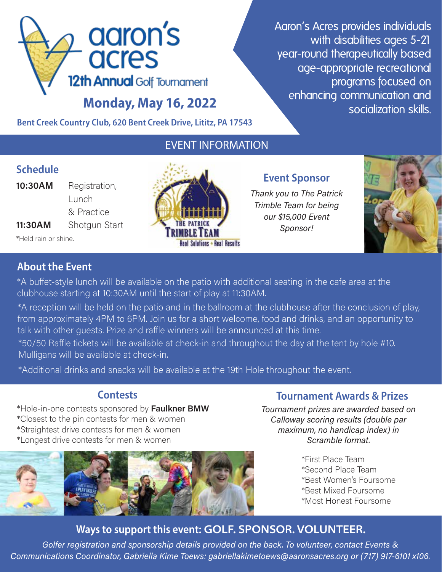

Aaron's Acres provides individuals with disabilities ages 5-21 year-round therapeutically based age-appropriate recreational programs focused on enhancing communication and socialization skills.

Bent Creek Country Club, 620 Bent Creek Drive, Lititz, PA 17543

# EVENT INFORMATION

## **Schedule**

- **10:30AM** Registration,
- Lunch  $\sim$  8 & Practice 11:30AM Shotqun Start

\*Held rain or shine.



## **Event Sponsor**

Thank you to The Patrick Trimble Team for being our \$15,000 Event Sponsor!



# **About the Event**

\*A buffet-style lunch will be available on the patio with additional seating in the cafe area at the clubhouse starting at 10:30AM until the start of play at 11:30AM.

\*A reception will be held on the patio and in the ballroom at the clubhouse after the conclusion of play, from approximately 4PM to 6PM. Join us for a short welcome, food and drinks, and an opportunity to talk with other quests. Prize and raffle winners will be announced at this time.

\*50/50 Raffle tickets will be available at check-in and throughout the day at the tent by hole #10. Mulligans will be available at check-in.

\*Additional drinks and snacks will be available at the 19th Hole throughout the event.

\*Hole-in-one contests sponsored by Faulkner BMW \*Closest to the pin contests for men & women \*Straightest drive contests for men & women \*Longest drive contests for men & women



# **Contests** Contests **Contests Contests Contests Contests Contests Contests Contests Contests Contests Contests Contests Contests Contests Contests Contests Contests Contests Contests Con**

Tournament prizes are awarded based on Calloway scoring results (double par maximum, no handicap index) in Scramble format.

- \*First Place Team \*Second Place Team \*Best Women's Foursome \*Best Mixed Foursome
	-
	- \*Most Honest Foursome

# Ways to support this event: GOLF. SPONSOR. VOLUNTEER.

Golfer registration and sponsorship details provided on the back. To volunteer, contact Events & Communications Coordinator, Gabriella Kime Toews: gabriellakimetoews@aaronsacres.org or (717) 917-6101 x106.